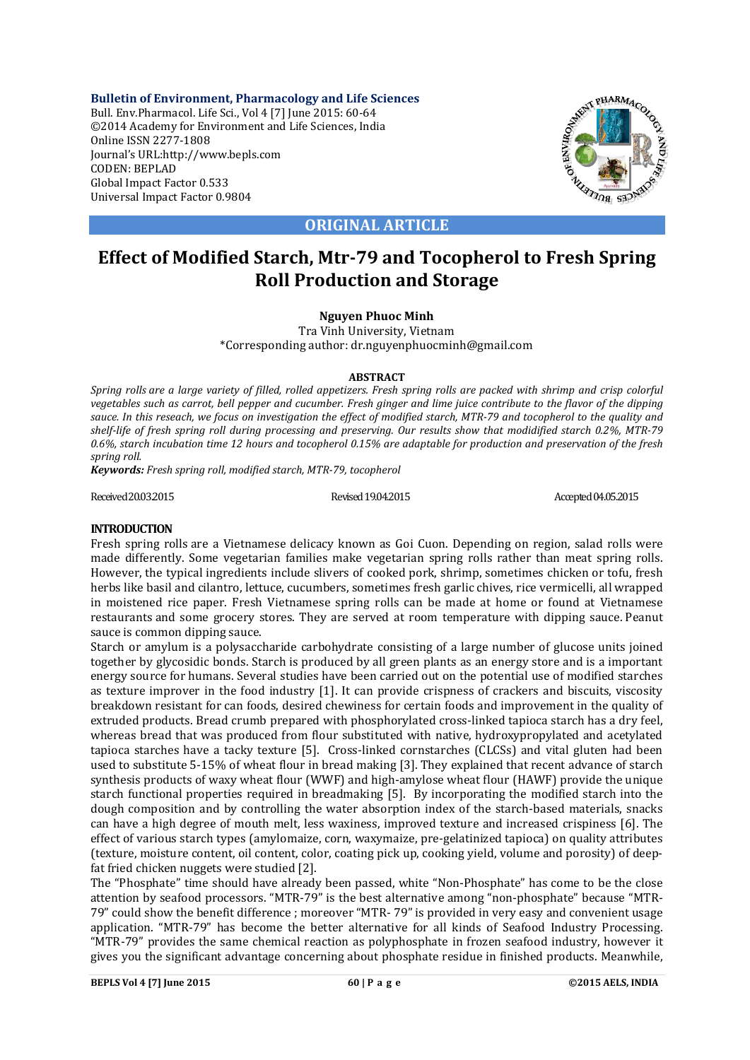**Bulletin of Environment, Pharmacology and Life Sciences** Bull. Env.Pharmacol. Life Sci., Vol 4 [7] June 2015: 60-64 ©2014 Academy for Environment and Life Sciences, India Online ISSN 2277-1808 Journal's URL:http://www.bepls.com CODEN: BEPLAD Global Impact Factor 0.533 Universal Impact Factor 0.9804



**ORIGINAL ARTICLE**

# **Effect of Modified Starch, Mtr-79 and Tocopherol to Fresh Spring Roll Production and Storage**

## **Nguyen Phuoc Minh**

Tra Vinh University, Vietnam \*Corresponding author: dr.nguyenphuocminh@gmail.com

## **ABSTRACT**

*Spring rolls are a large variety of filled, rolled appetizers. Fresh spring rolls are packed with shrimp and crisp colorful vegetables such as carrot, bell pepper and cucumber. Fresh ginger and lime juice contribute to the flavor of the dipping sauce. In this reseach, we focus on investigation the effect of modified starch, MTR-79 and tocopherol to the quality and shelf-life of fresh spring roll during processing and preserving. Our results show that modidified starch 0.2%, MTR-79 0.6%, starch incubation time 12 hours and tocopherol 0.15% are adaptable for production and preservation of the fresh spring roll.*

*Keywords: Fresh spring roll, modified starch, MTR-79, tocopherol*

Revised 19.04.2015 Revised 19.04.2015 Revised 19.04.2015 Accepted 04.05.2015

## **INTRODUCTION**

Fresh spring rolls are a Vietnamese delicacy known as Goi Cuon. Depending on region, salad rolls were made differently. Some vegetarian families make vegetarian spring rolls rather than meat spring rolls. However, the typical ingredients include slivers of cooked pork, shrimp, sometimes chicken or tofu, fresh herbs like basil and cilantro, lettuce, cucumbers, sometimes fresh garlic chives, rice vermicelli, all wrapped in moistened rice paper. Fresh Vietnamese spring rolls can be made at home or found at Vietnamese restaurants and some grocery stores. They are served at room temperature with dipping sauce. Peanut sauce is common dipping sauce.

Starch or amylum is a polysaccharide carbohydrate consisting of a large number of glucose units joined together by glycosidic bonds. Starch is produced by all green plants as an energy store and is a important energy source for humans. Several studies have been carried out on the potential use of modified starches as texture improver in the food industry [1]. It can provide crispness of crackers and biscuits, viscosity breakdown resistant for can foods, desired chewiness for certain foods and improvement in the quality of extruded products. Bread crumb prepared with phosphorylated cross-linked tapioca starch has a dry feel, whereas bread that was produced from flour substituted with native, hydroxypropylated and acetylated tapioca starches have a tacky texture [5]. Cross-linked cornstarches (CLCSs) and vital gluten had been used to substitute 5-15% of wheat flour in bread making [3]. They explained that recent advance of starch synthesis products of waxy wheat flour (WWF) and high-amylose wheat flour (HAWF) provide the unique starch functional properties required in breadmaking [5]. By incorporating the modified starch into the dough composition and by controlling the water absorption index of the starch-based materials, snacks can have a high degree of mouth melt, less waxiness, improved texture and increased crispiness [6]. The effect of various starch types (amylomaize, corn, waxymaize, pre-gelatinized tapioca) on quality attributes (texture, moisture content, oil content, color, coating pick up, cooking yield, volume and porosity) of deepfat fried chicken nuggets were studied [2].

The "Phosphate" time should have already been passed, white "Non-Phosphate" has come to be the close attention by seafood processors. "MTR-79" is the best alternative among "non-phosphate" because "MTR-79" could show the benefit difference ; moreover "MTR- 79" is provided in very easy and convenient usage application. "MTR-79" has become the better alternative for all kinds of Seafood Industry Processing. "MTR-79" provides the same chemical reaction as polyphosphate in frozen seafood industry, however it gives you the significant advantage concerning about phosphate residue in finished products. Meanwhile,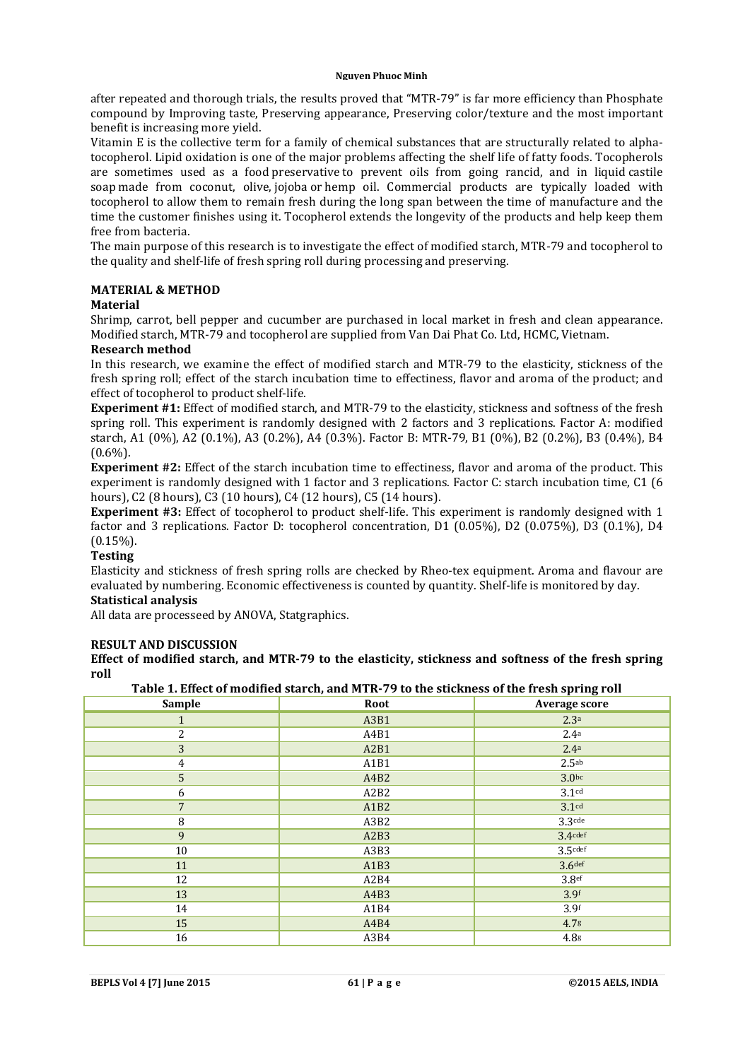#### **Nguyen Phuoc Minh**

after repeated and thorough trials, the results proved that "MTR-79" is far more efficiency than Phosphate compound by Improving taste, Preserving appearance, Preserving color/texture and the most important benefit is increasing more yield.

Vitamin E is the collective term for a family of chemical substances that are structurally related to alphatocopherol. Lipid oxidation is one of the major problems affecting the shelf life of fatty foods. Tocopherols are sometimes used as a food preservative to prevent oils from going rancid, and in liquid castile soap made from coconut, olive, jojoba or hemp oil. Commercial products are typically loaded with tocopherol to allow them to remain fresh during the long span between the time of manufacture and the time the customer finishes using it. Tocopherol extends the longevity of the products and help keep them free from bacteria.

The main purpose of this research is to investigate the effect of modified starch, MTR-79 and tocopherol to the quality and shelf-life of fresh spring roll during processing and preserving.

## **MATERIAL & METHOD**

## **Material**

Shrimp, carrot, bell pepper and cucumber are purchased in local market in fresh and clean appearance. Modified starch, MTR-79 and tocopherol are supplied from Van Dai Phat Co. Ltd, HCMC, Vietnam.

## **Research method**

In this research, we examine the effect of modified starch and MTR-79 to the elasticity, stickness of the fresh spring roll; effect of the starch incubation time to effectiness, flavor and aroma of the product; and effect of tocopherol to product shelf-life.

**Experiment #1:** Effect of modified starch, and MTR-79 to the elasticity, stickness and softness of the fresh spring roll. This experiment is randomly designed with 2 factors and 3 replications. Factor A: modified starch, A1 (0%), A2 (0.1%), A3 (0.2%), A4 (0.3%). Factor B: MTR-79, B1 (0%), B2 (0.2%), B3 (0.4%), B4  $(0.6\%)$ .

**Experiment #2:** Effect of the starch incubation time to effectiness, flavor and aroma of the product. This experiment is randomly designed with 1 factor and 3 replications. Factor C: starch incubation time, C1 (6 hours), C2 (8 hours), C3 (10 hours), C4 (12 hours), C5 (14 hours).

**Experiment #3:** Effect of tocopherol to product shelf-life. This experiment is randomly designed with 1 factor and 3 replications. Factor D: tocopherol concentration, D1 (0.05%), D2 (0.075%), D3 (0.1%), D4  $(0.15\%)$ .

## **Testing**

Elasticity and stickness of fresh spring rolls are checked by Rheo-tex equipment. Aroma and flavour are evaluated by numbering. Economic effectiveness is counted by quantity. Shelf-life is monitored by day. **Statistical analysis**

All data are processeed by ANOVA, Statgraphics.

## **RESULT AND DISCUSSION**

**Effect of modified starch, and MTR-79 to the elasticity, stickness and softness of the fresh spring roll**

**Table 1. Effect of modified starch, and MTR-79 to the stickness of the fresh spring roll**

| Sample         | Root | Average score      |
|----------------|------|--------------------|
| $\mathbf{1}$   | A3B1 | 2.3 <sup>a</sup>   |
| 2              | A4B1 | 2.4 <sup>a</sup>   |
| 3              | A2B1 | 2.4a               |
| $\pmb{4}$      | A1B1 | 2.5 <sup>ab</sup>  |
| $\overline{5}$ | A4B2 | 3.0 <sub>bc</sub>  |
| 6              | A2B2 | 3.1 <sup>cd</sup>  |
| $\overline{7}$ | A1B2 | 3.1 <sup>cd</sup>  |
| $\, 8$         | A3B2 | $3.3$ cde          |
| 9              | A2B3 | $3.4$ cdef         |
| $10\,$         | A3B3 | $3.5$ cdef         |
| 11             | A1B3 | 3.6 <sup>def</sup> |
| 12             | A2B4 | 3.8 <sup>ef</sup>  |
| 13             | A4B3 | 3.9 <sup>f</sup>   |
| 14             | A1B4 | 3.9f               |
| 15             | A4B4 | 4.7g               |
| 16             | A3B4 | 4.8 <sup>g</sup>   |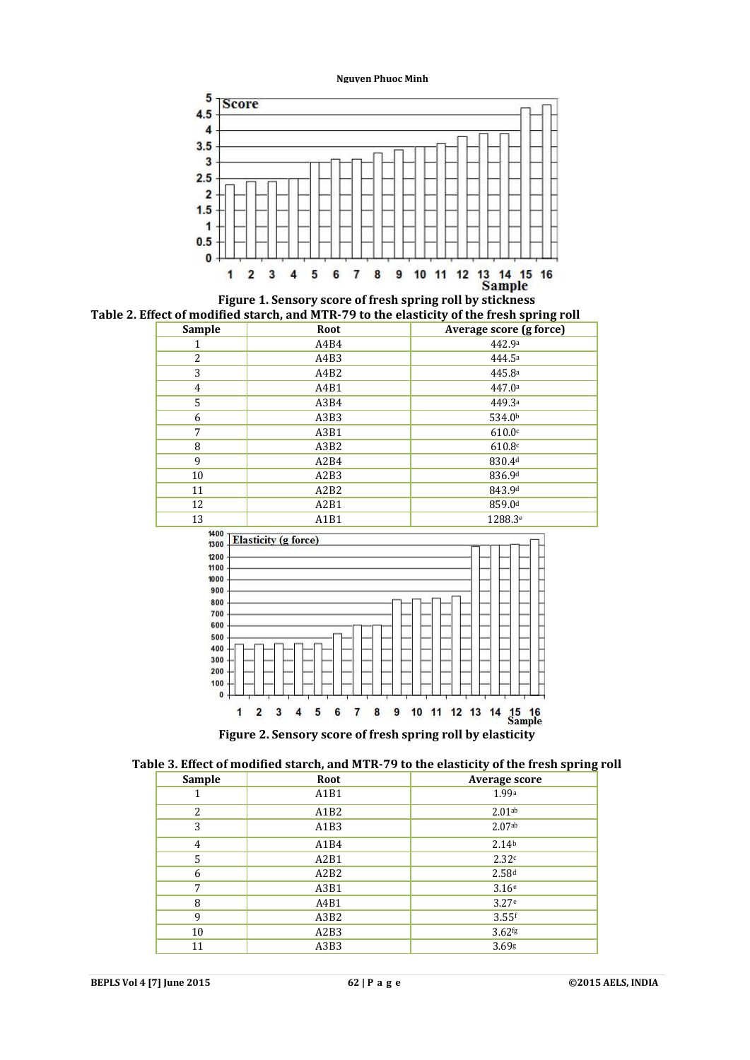



| <b>Sample</b> | Root | Average score (g force) |
|---------------|------|-------------------------|
|               | A4B4 | 442.9a                  |
| 2             | A4B3 | 444.5ª                  |
| 3             | A4B2 | 445.8a                  |
| 4             | A4B1 | 447.0a                  |
| 5             | A3B4 | 449.3ª                  |
| 6             | A3B3 | 534.0 <sup>b</sup>      |
| 7             | A3B1 | 610.0c                  |
| 8             | A3B2 | 610.8c                  |
| 9             | A2B4 | 830.4d                  |
| 10            | A2B3 | 836.9d                  |
| 11            | A2B2 | 843.9d                  |
| 12            | A2B1 | 859.0 <sup>d</sup>      |
| 13            | A1B1 | 1288.3 <sup>e</sup>     |



**Figure 2. Sensory score of fresh spring roll by elasticity**

| Table 3. Effect of modified starch, and MTR-79 to the elasticity of the fresh spring roll |  |  |
|-------------------------------------------------------------------------------------------|--|--|
|                                                                                           |  |  |

| Sample | Root | Average score        |
|--------|------|----------------------|
|        | A1B1 | 1.99a                |
| 2      | A1B2 | 2.01 <sub>ab</sub>   |
| 3      | A1B3 | 2.07ab               |
| 4      | A1B4 | 2.14 <sup>b</sup>    |
| 5      | A2B1 | 2.32c                |
| 6      | A2B2 | 2.58 <sup>d</sup>    |
| 7      | A3B1 | 3.16e                |
| 8      | A4B1 | 3.27e                |
| 9      | A3B2 | $3.55$ f             |
| 10     | A2B3 | $3.62$ <sup>fg</sup> |
| 11     | A3B3 | 3.69g                |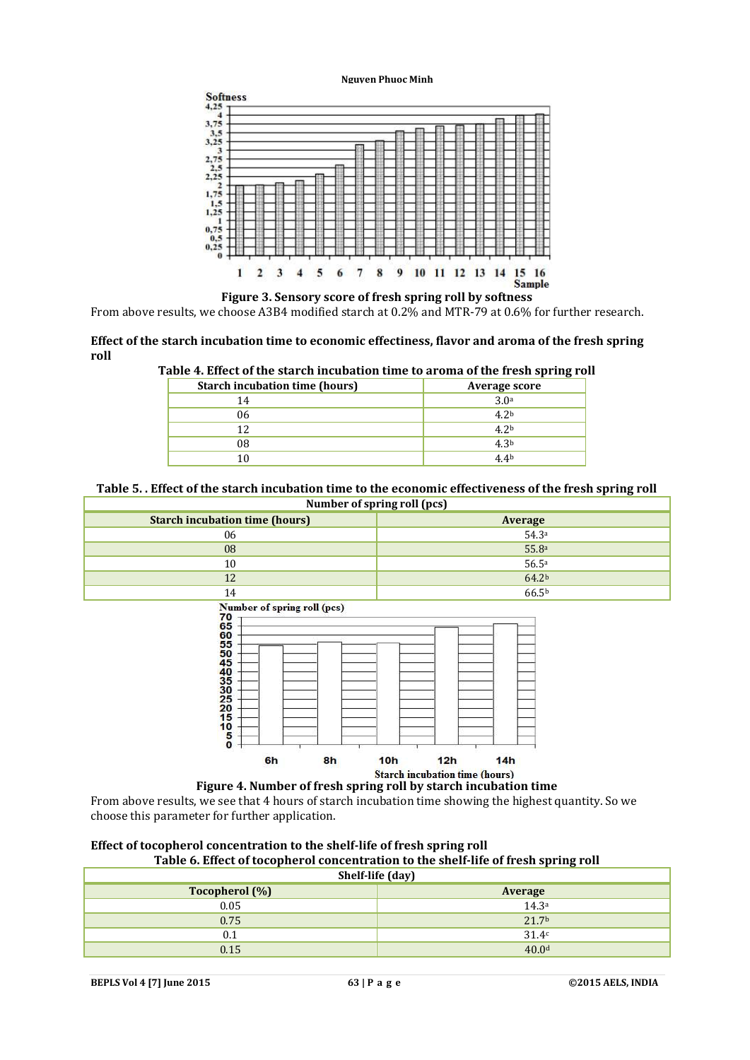#### **Nguyen Phuoc Minh**



**Figure 3. Sensory score of fresh spring roll by softness**

From above results, we choose A3B4 modified starch at 0.2% and MTR-79 at 0.6% for further research.

#### **Effect of the starch incubation time to economic effectiness, flavor and aroma of the fresh spring roll**

| xpic at microbidite builder incubation third to all onta of the H con opting for |                  |
|----------------------------------------------------------------------------------|------------------|
| <b>Starch incubation time (hours)</b>                                            | Average score    |
| 14                                                                               | 3.0 <sup>a</sup> |
| 06                                                                               | 4.2 <sup>b</sup> |
| 12                                                                               | 4.2 <sup>b</sup> |
| 08                                                                               | 4.3 <sup>b</sup> |
|                                                                                  | 4.4 <sup>b</sup> |

**Table 4. Effect of the starch incubation time to aroma of the fresh spring roll**

## **Table 5. . Effect of the starch incubation time to the economic effectiveness of the fresh spring roll Number of spring roll (pcs)**

| <b>Starch incubation time (hours)</b> | Average           |
|---------------------------------------|-------------------|
| 06                                    | 54.3a             |
| 08                                    | 55.8a             |
| 10                                    | 56.5a             |
| 12                                    | 64.2 <sup>b</sup> |
| 14                                    | 66.5b             |



**Figure 4. Number of fresh spring roll by starch incubation time**

From above results, we see that 4 hours of starch incubation time showing the highest quantity. So we choose this parameter for further application.

## **Effect of tocopherol concentration to the shelf-life of fresh spring roll Table 6. Effect of tocopherol concentration to the shelf-life of fresh spring roll**

| Shelf-life (day) |                   |  |
|------------------|-------------------|--|
| Tocopherol (%)   | Average           |  |
| 0.05             | 14.3 <sup>a</sup> |  |
| 0.75             | 21.7 <sup>b</sup> |  |
| 0.1              | 31.4c             |  |
| 0.15             | 40.0 <sup>d</sup> |  |